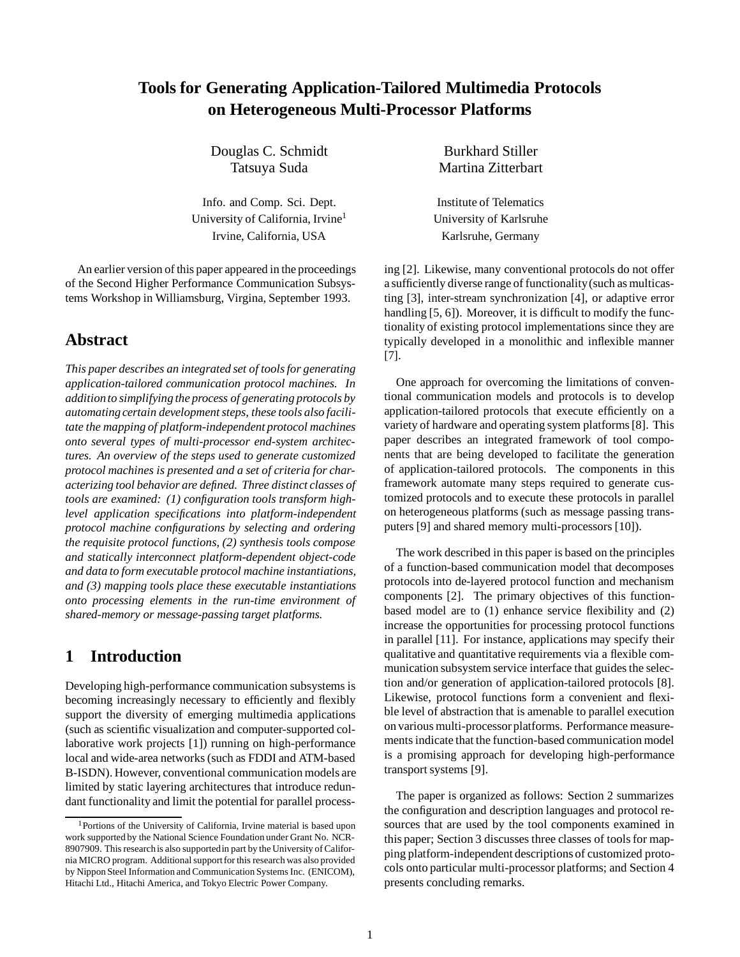# **Tools for Generating Application-Tailored Multimedia Protocols on Heterogeneous Multi-Processor Platforms**

Douglas C. Schmidt Burkhard Stiller

Info. and Comp. Sci. Dept. Institute of Telematics University of California, Irvine<sup>1</sup> University of Karlsruhe Irvine, California, USA Karlsruhe, Germany

An earlier version of this paper appeared in the proceedings of the Second Higher Performance Communication Subsystems Workshop in Williamsburg, Virgina, September 1993.

## **Abstract**

*This paper describes an integrated set of tools for generating application-tailored communication protocol machines. In additionto simplifying the process of generating protocols by* automating certain development steps, these tools also facili*tate the mapping of platform-independent protocol machines onto several types of multi-processor end-system architectures. An overview of the steps used to generate customized protocol machines is presented and a set of criteria for characterizing tool behavior are defined. Three distinct classes of tools are examined: (1) configuration tools transform highlevel application specifications into platform-independent protocol machine configurations by selecting and ordering the requisite protocol functions, (2) synthesis tools compose and statically interconnect platform-dependent object-code and data to form executable protocol machine instantiations, and (3) mapping tools place these executable instantiations onto processing elements in the run-time environment of shared-memory or message-passing target platforms.*

## **1 Introduction**

Developing high-performance communication subsystems is becoming increasingly necessary to efficiently and flexibly support the diversity of emerging multimedia applications (such as scientific visualization and computer-supported collaborative work projects [1]) running on high-performance local and wide-area networks (such as FDDI and ATM-based B-ISDN). However, conventional communication models are limited by static layering architectures that introduce redundant functionality and limit the potential for parallel process-

Tatsuya Suda Martina Zitterbart

ing [2]. Likewise, many conventional protocols do not offer a sufficiently diverse range of functionality(such as multicasting [3], inter-stream synchronization [4], or adaptive error handling [5, 6]). Moreover, it is difficult to modify the functionality of existing protocol implementations since they are typically developed in a monolithic and inflexible manner [7].

One approach for overcoming the limitations of conventional communication models and protocols is to develop application-tailored protocols that execute efficiently on a variety of hardware and operating system platforms [8]. This paper describes an integrated framework of tool components that are being developed to facilitate the generation of application-tailored protocols. The components in this framework automate many steps required to generate customized protocols and to execute these protocols in parallel on heterogeneous platforms (such as message passing transputers [9] and shared memory multi-processors [10]).

The work described in this paper is based on the principles of a function-based communication model that decomposes protocols into de-layered protocol function and mechanism components [2]. The primary objectives of this functionbased model are to (1) enhance service flexibility and (2) increase the opportunities for processing protocol functions in parallel [11]. For instance, applications may specify their qualitative and quantitative requirements via a flexible communication subsystem service interface that guides the selection and/or generation of application-tailored protocols [8]. Likewise, protocol functions form a convenient and flexible level of abstraction that is amenable to parallel execution on various multi-processorplatforms. Performance measurements indicate that the function-based communication model is a promising approach for developing high-performance transport systems [9].

The paper is organized as follows: Section 2 summarizes the configuration and description languages and protocol resources that are used by the tool components examined in this paper; Section 3 discusses three classes of tools for mapping platform-independent descriptions of customized protocols onto particular multi-processor platforms; and Section 4 presents concluding remarks.

<sup>&</sup>lt;sup>1</sup>Portions of the University of California, Irvine material is based upon work supported by the National Science Foundation under Grant No. NCR-8907909. This research is also supportedin part by the University of California MICRO program. Additional supportfor this research was also provided by Nippon Steel Information and Communication Systems Inc. (ENICOM), Hitachi Ltd., Hitachi America, and Tokyo Electric Power Company.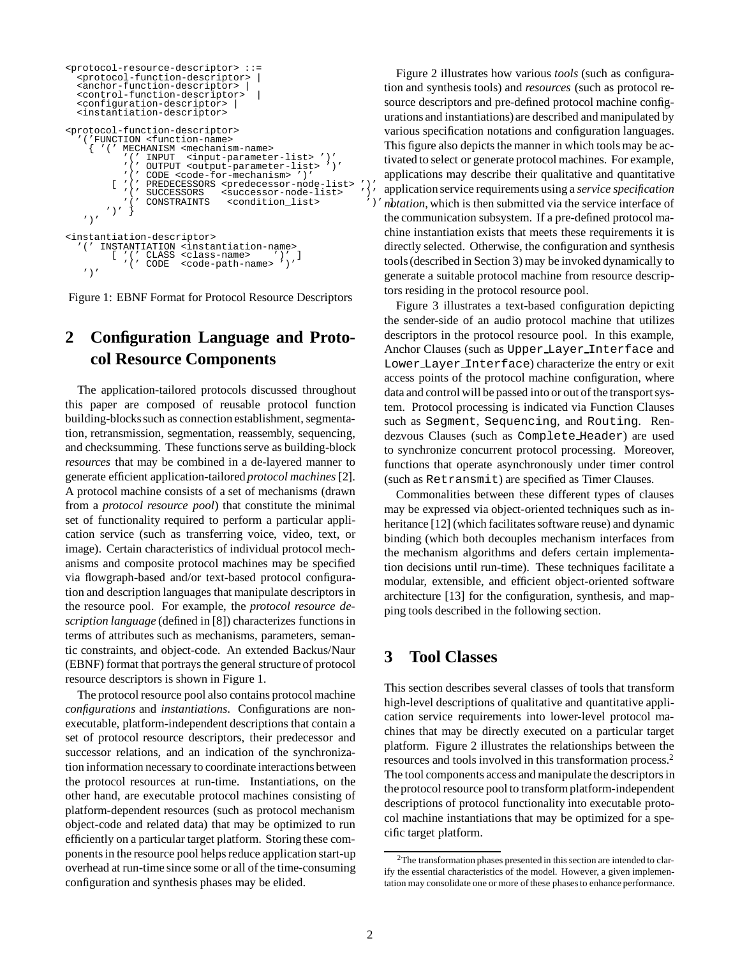```
<protocol-resource-descriptor> ::=
  <protocol-function-descriptor> |
   <anchor-function-descriptor> |
   <control-function-descriptor>
  <configuration-descriptor>
  <instantiation-descriptor>
<protocol-function-descriptor>
     '('FUNCTION <function-name>
        { '(' MECHANISM <mechanism-name>
                            <input-parameter-list> ')'<br><output-parameter-list> ')'
                   OUTPUT <output-parameter-list>
           '(' CODE <code-for-mechanism> ')'
[ '(' PREDECESSORS <predecessor-node-list> ')'
'(' SUCCESSORS <successor-node-list> ')'
                   '(' CONSTRAINTS <condition_list> ')' ]
          ')'')'
<instantiation-descriptor>
   (' INSTANTIATION <instantiation-name><br>
['(' CLASS <class-name> ')' ]<br>
'(' CODE <code-path-name> '''
           [ '(' CLASS <class-name> ')' ]
'(' CODE <code-path-name> ')'
    ')'
```
Figure 1: EBNF Format for Protocol Resource Descriptors

# **2 Configuration Language and Protocol Resource Components**

The application-tailored protocols discussed throughout this paper are composed of reusable protocol function building-blockssuch as connection establishment, segmentation, retransmission, segmentation, reassembly, sequencing, and checksumming. These functions serve as building-block *resources* that may be combined in a de-layered manner to generate efficient application-tailored *protocol machines* [2]. A protocol machine consists of a set of mechanisms (drawn from a *protocol resource pool*) that constitute the minimal set of functionality required to perform a particular application service (such as transferring voice, video, text, or image). Certain characteristics of individual protocol mechanisms and composite protocol machines may be specified via flowgraph-based and/or text-based protocol configuration and description languages that manipulate descriptors in the resource pool. For example, the *protocol resource description language* (defined in [8]) characterizes functions in terms of attributes such as mechanisms, parameters, semantic constraints, and object-code. An extended Backus/Naur (EBNF) format that portrays the general structure of protocol resource descriptors is shown in Figure 1.

The protocol resource pool also contains protocol machine *configurations* and *instantiations*. Configurations are nonexecutable, platform-independent descriptions that contain a set of protocol resource descriptors, their predecessor and successor relations, and an indication of the synchronization information necessary to coordinate interactions between the protocol resources at run-time. Instantiations, on the other hand, are executable protocol machines consisting of platform-dependent resources (such as protocol mechanism object-code and related data) that may be optimized to run efficiently on a particular target platform. Storing these components in the resource pool helps reduce application start-up overhead at run-time since some or all of the time-consuming configuration and synthesis phases may be elided.

Figure 2 illustrates how various *tools* (such as configuration and synthesis tools) and *resources* (such as protocol resource descriptors and pre-defined protocol machine configurations and instantiations)are described and manipulated by various specification notations and configuration languages. This figure also depicts the manner in which tools may be activated to select or generate protocol machines. For example, applications may describe their qualitative and quantitative application service requirements using a *service specification notation*, which is then submitted via the service interface of the communication subsystem. If a pre-defined protocol machine instantiation exists that meets these requirements it is directly selected. Otherwise, the configuration and synthesis tools (described in Section 3) may be invoked dynamically to generate a suitable protocol machine from resource descriptors residing in the protocol resource pool.

Figure 3 illustrates a text-based configuration depicting the sender-side of an audio protocol machine that utilizes descriptors in the protocol resource pool. In this example, Anchor Clauses (such as Upper Layer Interface and Lower Layer Interface) characterize the entry or exit access points of the protocol machine configuration, where data and control will be passed into or out of the transport system. Protocol processing is indicated via Function Clauses such as Segment, Sequencing, and Routing. Rendezvous Clauses (such as Complete Header) are used to synchronize concurrent protocol processing. Moreover, functions that operate asynchronously under timer control (such as Retransmit) are specified as Timer Clauses.

Commonalities between these different types of clauses may be expressed via object-oriented techniques such as inheritance [12] (which facilitates software reuse) and dynamic binding (which both decouples mechanism interfaces from the mechanism algorithms and defers certain implementation decisions until run-time). These techniques facilitate a modular, extensible, and efficient object-oriented software architecture [13] for the configuration, synthesis, and mapping tools described in the following section.

## **3 Tool Classes**

This section describes several classes of tools that transform high-level descriptions of qualitative and quantitative application service requirements into lower-level protocol machines that may be directly executed on a particular target platform. Figure 2 illustrates the relationships between the resources and tools involved in this transformation process.2 The tool components access and manipulate the descriptors in the protocol resource pool to transform platform-independent descriptions of protocol functionality into executable protocol machine instantiations that may be optimized for a specific target platform.

<sup>2</sup>The transformation phases presented in this section are intended to clarify the essential characteristics of the model. However, a given implementation may consolidate one or more of these phases to enhance performance.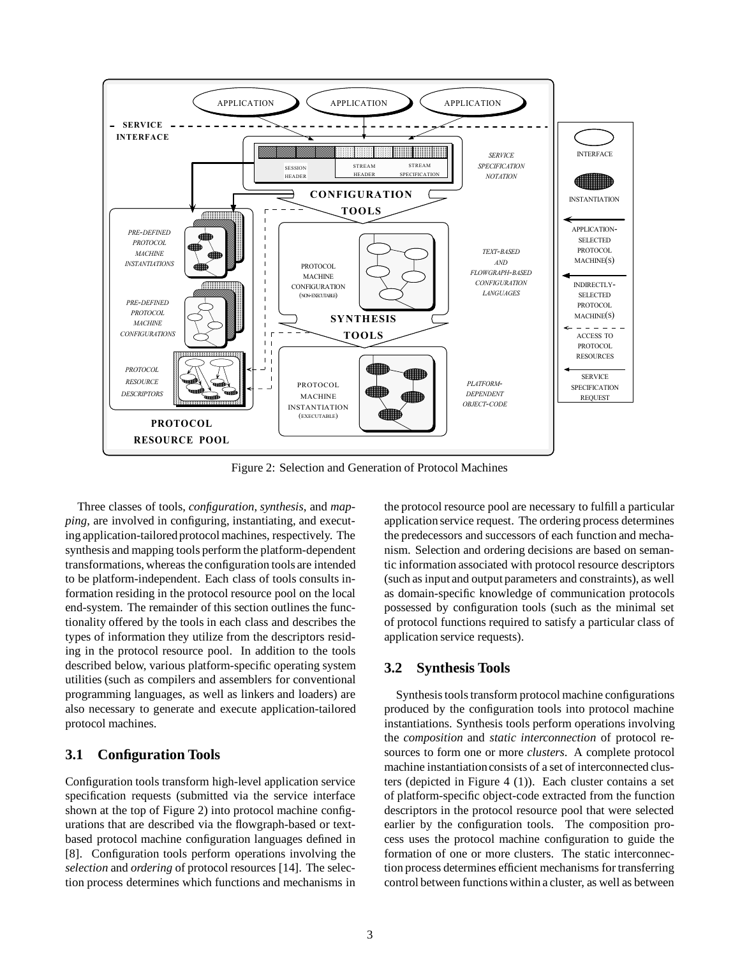

Figure 2: Selection and Generation of Protocol Machines

Three classes of tools, *configuration*, *synthesis*, and *mapping*, are involved in configuring, instantiating, and executing application-tailoredprotocol machines, respectively. The synthesis and mapping tools perform the platform-dependent transformations, whereas the configuration tools are intended to be platform-independent. Each class of tools consults information residing in the protocol resource pool on the local end-system. The remainder of this section outlines the functionality offered by the tools in each class and describes the types of information they utilize from the descriptors residing in the protocol resource pool. In addition to the tools described below, various platform-specific operating system utilities (such as compilers and assemblers for conventional programming languages, as well as linkers and loaders) are also necessary to generate and execute application-tailored protocol machines.

#### **3.1 Configuration Tools**

Configuration tools transform high-level application service specification requests (submitted via the service interface shown at the top of Figure 2) into protocol machine configurations that are described via the flowgraph-based or textbased protocol machine configuration languages defined in [8]. Configuration tools perform operations involving the *selection* and *ordering* of protocol resources [14]. The selection process determines which functions and mechanisms in

the protocol resource pool are necessary to fulfill a particular application service request. The ordering process determines the predecessors and successors of each function and mechanism. Selection and ordering decisions are based on semantic information associated with protocol resource descriptors (such as input and output parameters and constraints), as well as domain-specific knowledge of communication protocols possessed by configuration tools (such as the minimal set of protocol functions required to satisfy a particular class of application service requests).

#### **3.2 Synthesis Tools**

Synthesis tools transform protocol machine configurations produced by the configuration tools into protocol machine instantiations. Synthesis tools perform operations involving the *composition* and *static interconnection* of protocol resources to form one or more *clusters*. A complete protocol machine instantiation consists of a set of interconnected clusters (depicted in Figure 4 (1)). Each cluster contains a set of platform-specific object-code extracted from the function descriptors in the protocol resource pool that were selected earlier by the configuration tools. The composition process uses the protocol machine configuration to guide the formation of one or more clusters. The static interconnection process determines efficient mechanisms for transferring control between functions within a cluster, as well as between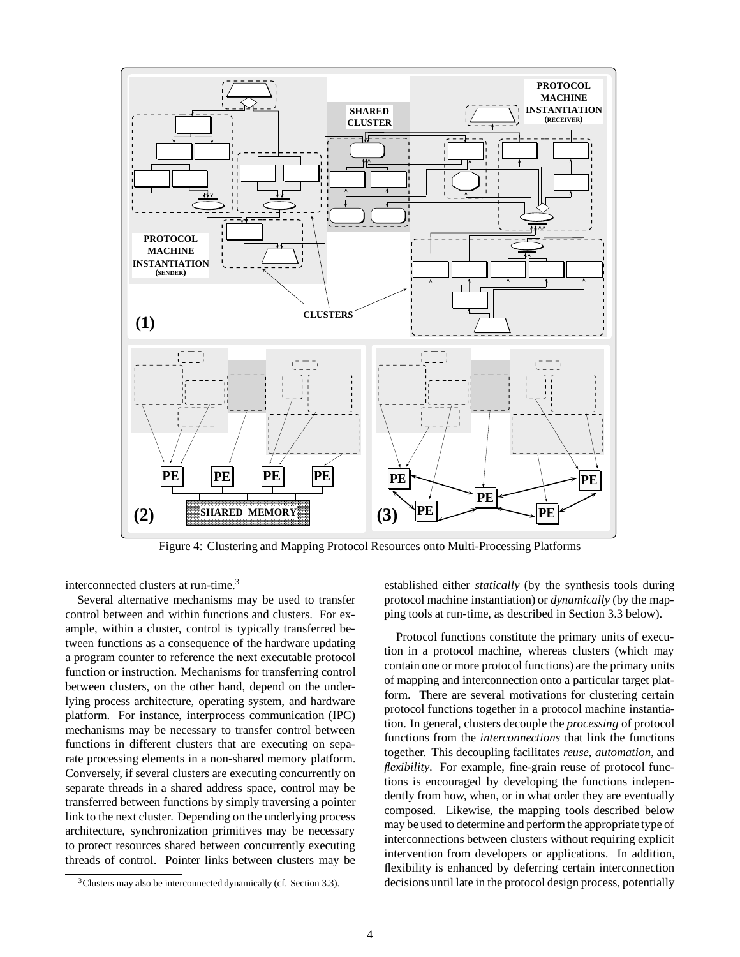

Figure 4: Clustering and Mapping Protocol Resources onto Multi-Processing Platforms

interconnected clusters at run-time.<sup>3</sup>

Several alternative mechanisms may be used to transfer control between and within functions and clusters. For example, within a cluster, control is typically transferred between functions as a consequence of the hardware updating a program counter to reference the next executable protocol function or instruction. Mechanisms for transferring control between clusters, on the other hand, depend on the underlying process architecture, operating system, and hardware platform. For instance, interprocess communication (IPC) mechanisms may be necessary to transfer control between functions in different clusters that are executing on separate processing elements in a non-shared memory platform. Conversely, if several clusters are executing concurrently on separate threads in a shared address space, control may be transferred between functions by simply traversing a pointer link to the next cluster. Depending on the underlying process architecture, synchronization primitives may be necessary to protect resources shared between concurrently executing threads of control. Pointer links between clusters may be

established either *statically* (by the synthesis tools during protocol machine instantiation) or *dynamically* (by the mapping tools at run-time, as described in Section 3.3 below).

Protocol functions constitute the primary units of execution in a protocol machine, whereas clusters (which may contain one or more protocol functions) are the primary units of mapping and interconnection onto a particular target platform. There are several motivations for clustering certain protocol functions together in a protocol machine instantiation. In general, clusters decouple the *processing* of protocol functions from the *interconnections* that link the functions together. This decoupling facilitates *reuse*, *automation*, and *flexibility*. For example, fine-grain reuse of protocol functions is encouraged by developing the functions independently from how, when, or in what order they are eventually composed. Likewise, the mapping tools described below may be used to determine and perform the appropriate type of interconnections between clusters without requiring explicit intervention from developers or applications. In addition, flexibility is enhanced by deferring certain interconnection decisions until late in the protocol design process, potentially

<sup>&</sup>lt;sup>3</sup>Clusters may also be interconnected dynamically (cf. Section 3.3).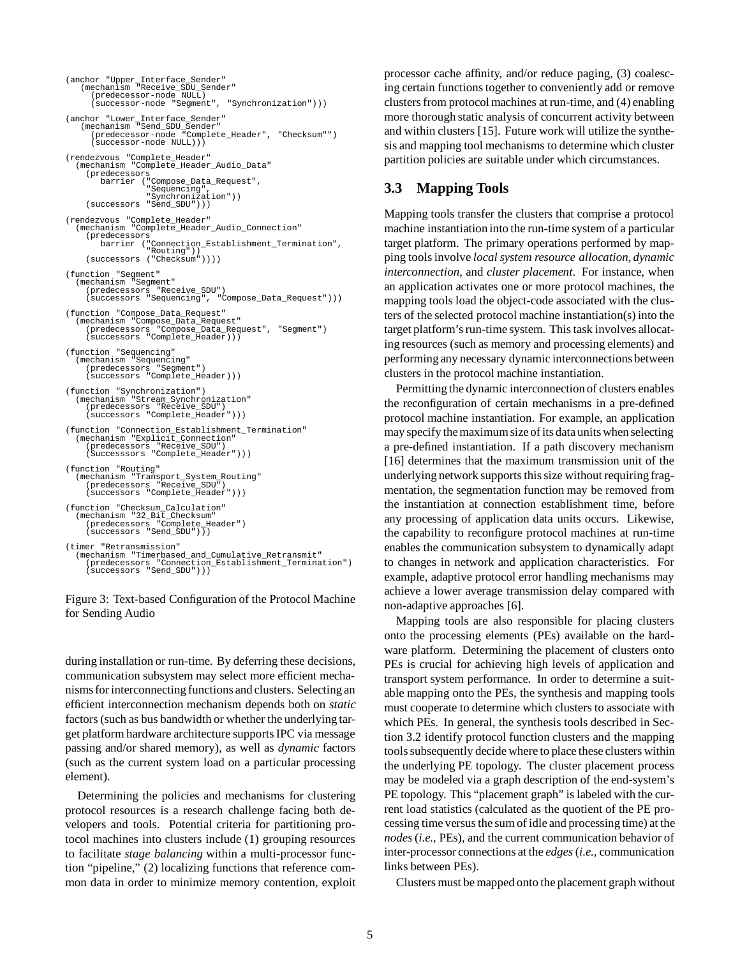```
(anchor "Upper_Interface_Sender"
(mechanism "Receive_SDU_Sender"
(predecessor-node NULL)
      (successor-node "Segment", "Synchronization")))
(anchor "Lower_Interface_Sender"
(mechanism "Send_SDU_Sender"
(predecessor-node "Complete_Header", "Checksum"")
      (successor-node NULL)))
(rendezvous "Complete_Header"
  (mechanism "Complete_Header_Audio_Data"
     (predecessors
         barrier ("Compose_Data_Request",
                      "Sequencing",
"Synchronization"))
     (successors "Send_SDU")))
(rendezvous "Complete_Header"
(mechanism "Complete_Header_Audio_Connection"
     (predecessors
         barrier ("Connection_Establishment_Termination",
"Routing"))
     (successors ("Checksum"))))
(function "Segment"
  (mechanism "Segment"
(predecessors "Receive_SDU")
     -comaniom<br>(predecessors "Receive_SDU")<br>(successors "Sequencing", "Compose_Data_Request")))
(function "Compose_Data_Request"
  (mechanism "Compose_Data_Request"
(predecessors "Compose_Data_Request", "Segment")
     (successors "Complete_Header)))
(function "Sequencing"
(mechanism "Sequencing"
(predecessors "Segment")
     (successors "Complete_Header)))
(function "Synchronization")
  (mechanism "Stream_Synchronization"
     (predecessors "Receive_SDU")
(successors "Complete_Header")))
(function "Connection_Establishment_Termination"
  (mechanism "Explicit_Connection"
     (predecessors "Receive_SDU")
(Successsors "Complete_Header")))
(function "Routing"
  (mechanism "Transport_System_Routing"
     (predecessors "Receive_SDU")
(successors "Complete_Header")))
(function "Checksum_Calculation"
  (mechanism "32_Bit_Checksum"
(predecessors "Complete_Header")
     (successors "Send_SDU")))
(timer "Retransmission"
                  (mechanism "Timerbased_and_Cumulative_Retransmit"
     (predecessors "Connection_Establishment_Termination")
(successors "Send_SDU")))
```
Figure 3: Text-based Configuration of the Protocol Machine for Sending Audio

during installation or run-time. By deferring these decisions, communication subsystem may select more efficient mechanisms for interconnecting functions and clusters. Selecting an efficient interconnection mechanism depends both on *static* factors (such as bus bandwidth or whether the underlying target platform hardware architecture supports IPC via message passing and/or shared memory), as well as *dynamic* factors (such as the current system load on a particular processing element).

Determining the policies and mechanisms for clustering protocol resources is a research challenge facing both developers and tools. Potential criteria for partitioning protocol machines into clusters include (1) grouping resources to facilitate *stage balancing* within a multi-processor function "pipeline," (2) localizing functions that reference common data in order to minimize memory contention, exploit processor cache affinity, and/or reduce paging, (3) coalescing certain functions together to conveniently add or remove clusters from protocol machines at run-time, and (4) enabling more thorough static analysis of concurrent activity between and within clusters [15]. Future work will utilize the synthesis and mapping tool mechanisms to determine which cluster partition policies are suitable under which circumstances.

#### **3.3 Mapping Tools**

Mapping tools transfer the clusters that comprise a protocol machine instantiation into the run-time system of a particular target platform. The primary operations performed by mapping tools involve *local system resource allocation*, *dynamic interconnection*, and *cluster placement*. For instance, when an application activates one or more protocol machines, the mapping tools load the object-code associated with the clusters of the selected protocol machine instantiation(s) into the target platform's run-time system. This task involves allocating resources (such as memory and processing elements) and performing any necessary dynamic interconnections between clusters in the protocol machine instantiation.

Permitting the dynamic interconnection of clusters enables the reconfiguration of certain mechanisms in a pre-defined protocol machine instantiation. For example, an application may specify the maximum size of its data units when selecting a pre-defined instantiation. If a path discovery mechanism [16] determines that the maximum transmission unit of the underlying network supports this size without requiring fragmentation, the segmentation function may be removed from the instantiation at connection establishment time, before any processing of application data units occurs. Likewise, the capability to reconfigure protocol machines at run-time enables the communication subsystem to dynamically adapt to changes in network and application characteristics. For example, adaptive protocol error handling mechanisms may achieve a lower average transmission delay compared with non-adaptive approaches [6].

Mapping tools are also responsible for placing clusters onto the processing elements (PEs) available on the hardware platform. Determining the placement of clusters onto PEs is crucial for achieving high levels of application and transport system performance. In order to determine a suitable mapping onto the PEs, the synthesis and mapping tools must cooperate to determine which clusters to associate with which PEs. In general, the synthesis tools described in Section 3.2 identify protocol function clusters and the mapping tools subsequently decide where to place these clusters within the underlying PE topology. The cluster placement process may be modeled via a graph description of the end-system's PE topology. This "placement graph" is labeled with the current load statistics (calculated as the quotient of the PE processing time versus the sum of idle and processing time) at the *nodes*(*i.e.,* PEs), and the current communication behavior of inter-processor connections at the *edges*(*i.e.,* communication links between PEs).

Clusters must be mapped onto the placement graph without